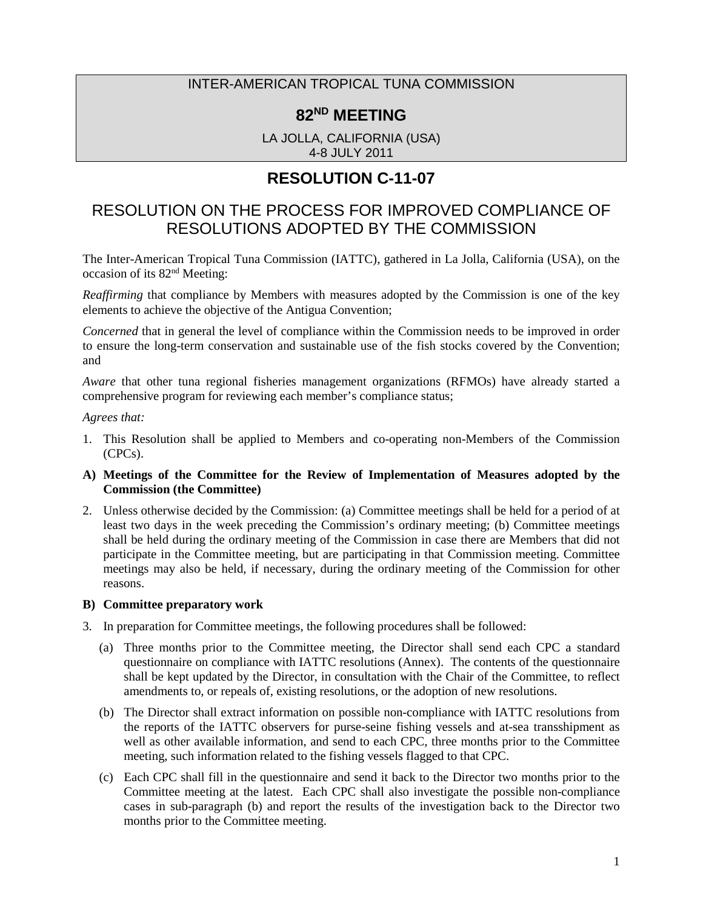### INTER-AMERICAN TROPICAL TUNA COMMISSION

# **82ND MEETING**

LA JOLLA, CALIFORNIA (USA) 4-8 JULY 2011

# **RESOLUTION C-11-07**

# RESOLUTION ON THE PROCESS FOR IMPROVED COMPLIANCE OF RESOLUTIONS ADOPTED BY THE COMMISSION

The Inter-American Tropical Tuna Commission (IATTC), gathered in La Jolla, California (USA), on the occasion of its 82nd Meeting:

*Reaffirming* that compliance by Members with measures adopted by the Commission is one of the key elements to achieve the objective of the Antigua Convention;

*Concerned* that in general the level of compliance within the Commission needs to be improved in order to ensure the long-term conservation and sustainable use of the fish stocks covered by the Convention; and

*Aware* that other tuna regional fisheries management organizations (RFMOs) have already started a comprehensive program for reviewing each member's compliance status;

#### *Agrees that:*

- 1. This Resolution shall be applied to Members and co-operating non-Members of the Commission (CPCs).
- **A) Meetings of the Committee for the Review of Implementation of Measures adopted by the Commission (the Committee)**
- 2. Unless otherwise decided by the Commission: (a) Committee meetings shall be held for a period of at least two days in the week preceding the Commission's ordinary meeting; (b) Committee meetings shall be held during the ordinary meeting of the Commission in case there are Members that did not participate in the Committee meeting, but are participating in that Commission meeting. Committee meetings may also be held, if necessary, during the ordinary meeting of the Commission for other reasons.

#### **B) Committee preparatory work**

- 3. In preparation for Committee meetings, the following procedures shall be followed:
	- (a) Three months prior to the Committee meeting, the Director shall send each CPC a standard questionnaire on compliance with IATTC resolutions (Annex). The contents of the questionnaire shall be kept updated by the Director, in consultation with the Chair of the Committee, to reflect amendments to, or repeals of, existing resolutions, or the adoption of new resolutions.
	- (b) The Director shall extract information on possible non-compliance with IATTC resolutions from the reports of the IATTC observers for purse-seine fishing vessels and at-sea transshipment as well as other available information, and send to each CPC, three months prior to the Committee meeting, such information related to the fishing vessels flagged to that CPC.
	- (c) Each CPC shall fill in the questionnaire and send it back to the Director two months prior to the Committee meeting at the latest. Each CPC shall also investigate the possible non-compliance cases in sub-paragraph (b) and report the results of the investigation back to the Director two months prior to the Committee meeting.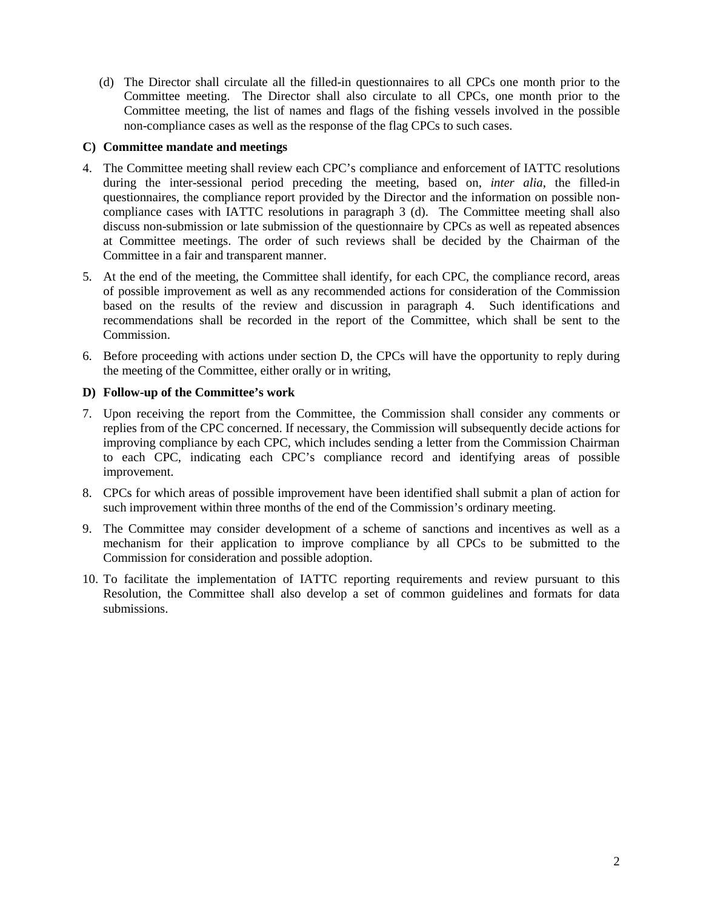(d) The Director shall circulate all the filled-in questionnaires to all CPCs one month prior to the Committee meeting. The Director shall also circulate to all CPCs, one month prior to the Committee meeting, the list of names and flags of the fishing vessels involved in the possible non-compliance cases as well as the response of the flag CPCs to such cases.

### **C) Committee mandate and meetings**

- 4. The Committee meeting shall review each CPC's compliance and enforcement of IATTC resolutions during the inter-sessional period preceding the meeting, based on, *inter alia*, the filled-in questionnaires, the compliance report provided by the Director and the information on possible noncompliance cases with IATTC resolutions in paragraph 3 (d). The Committee meeting shall also discuss non-submission or late submission of the questionnaire by CPCs as well as repeated absences at Committee meetings. The order of such reviews shall be decided by the Chairman of the Committee in a fair and transparent manner.
- 5. At the end of the meeting, the Committee shall identify, for each CPC, the compliance record, areas of possible improvement as well as any recommended actions for consideration of the Commission based on the results of the review and discussion in paragraph 4. Such identifications and recommendations shall be recorded in the report of the Committee, which shall be sent to the Commission.
- 6. Before proceeding with actions under section D, the CPCs will have the opportunity to reply during the meeting of the Committee, either orally or in writing,

#### **D) Follow-up of the Committee's work**

- 7. Upon receiving the report from the Committee, the Commission shall consider any comments or replies from of the CPC concerned. If necessary, the Commission will subsequently decide actions for improving compliance by each CPC, which includes sending a letter from the Commission Chairman to each CPC, indicating each CPC's compliance record and identifying areas of possible improvement.
- 8. CPCs for which areas of possible improvement have been identified shall submit a plan of action for such improvement within three months of the end of the Commission's ordinary meeting.
- 9. The Committee may consider development of a scheme of sanctions and incentives as well as a mechanism for their application to improve compliance by all CPCs to be submitted to the Commission for consideration and possible adoption.
- 10. To facilitate the implementation of IATTC reporting requirements and review pursuant to this Resolution, the Committee shall also develop a set of common guidelines and formats for data submissions.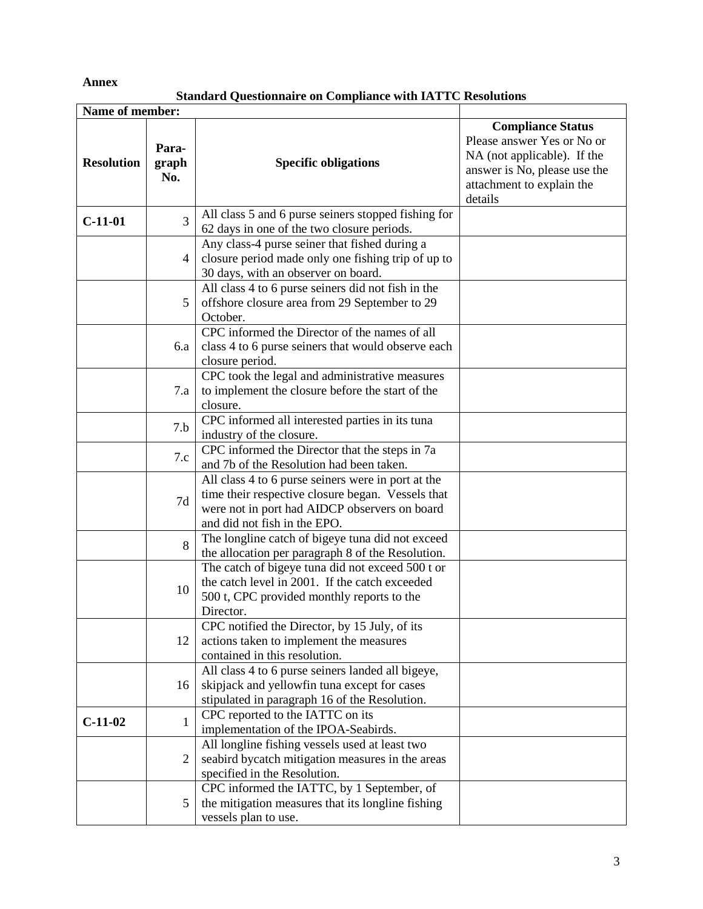**Annex**

**Standard Questionnaire on Compliance with IATTC Resolutions**

| Name of member:   |                       |                                                                                                                                                                                          |                                                                                                                                                               |
|-------------------|-----------------------|------------------------------------------------------------------------------------------------------------------------------------------------------------------------------------------|---------------------------------------------------------------------------------------------------------------------------------------------------------------|
| <b>Resolution</b> | Para-<br>graph<br>No. | <b>Specific obligations</b>                                                                                                                                                              | <b>Compliance Status</b><br>Please answer Yes or No or<br>NA (not applicable). If the<br>answer is No, please use the<br>attachment to explain the<br>details |
| $C-11-01$         | 3                     | All class 5 and 6 purse seiners stopped fishing for<br>62 days in one of the two closure periods.                                                                                        |                                                                                                                                                               |
|                   | 4                     | Any class-4 purse seiner that fished during a<br>closure period made only one fishing trip of up to<br>30 days, with an observer on board.                                               |                                                                                                                                                               |
|                   | 5                     | All class 4 to 6 purse seiners did not fish in the<br>offshore closure area from 29 September to 29<br>October.                                                                          |                                                                                                                                                               |
|                   | 6.a                   | CPC informed the Director of the names of all<br>class 4 to 6 purse seiners that would observe each<br>closure period.                                                                   |                                                                                                                                                               |
|                   | 7.a                   | CPC took the legal and administrative measures<br>to implement the closure before the start of the<br>closure.                                                                           |                                                                                                                                                               |
|                   | 7.b                   | CPC informed all interested parties in its tuna<br>industry of the closure.                                                                                                              |                                                                                                                                                               |
|                   | 7.c                   | CPC informed the Director that the steps in 7a<br>and 7b of the Resolution had been taken.                                                                                               |                                                                                                                                                               |
|                   | 7d                    | All class 4 to 6 purse seiners were in port at the<br>time their respective closure began. Vessels that<br>were not in port had AIDCP observers on board<br>and did not fish in the EPO. |                                                                                                                                                               |
|                   | 8                     | The longline catch of bigeye tuna did not exceed<br>the allocation per paragraph 8 of the Resolution.                                                                                    |                                                                                                                                                               |
|                   | 10                    | The catch of bigeye tuna did not exceed 500 t or<br>the catch level in 2001. If the catch exceeded<br>500 t, CPC provided monthly reports to the<br>Director.                            |                                                                                                                                                               |
|                   | 12                    | CPC notified the Director, by 15 July, of its<br>actions taken to implement the measures<br>contained in this resolution.                                                                |                                                                                                                                                               |
|                   | 16                    | All class 4 to 6 purse seiners landed all bigeye,<br>skipjack and yellowfin tuna except for cases<br>stipulated in paragraph 16 of the Resolution.                                       |                                                                                                                                                               |
| $C-11-02$         | 1                     | CPC reported to the IATTC on its<br>implementation of the IPOA-Seabirds.                                                                                                                 |                                                                                                                                                               |
|                   | $\overline{2}$        | All longline fishing vessels used at least two<br>seabird bycatch mitigation measures in the areas<br>specified in the Resolution.                                                       |                                                                                                                                                               |
|                   | 5                     | CPC informed the IATTC, by 1 September, of<br>the mitigation measures that its longline fishing<br>vessels plan to use.                                                                  |                                                                                                                                                               |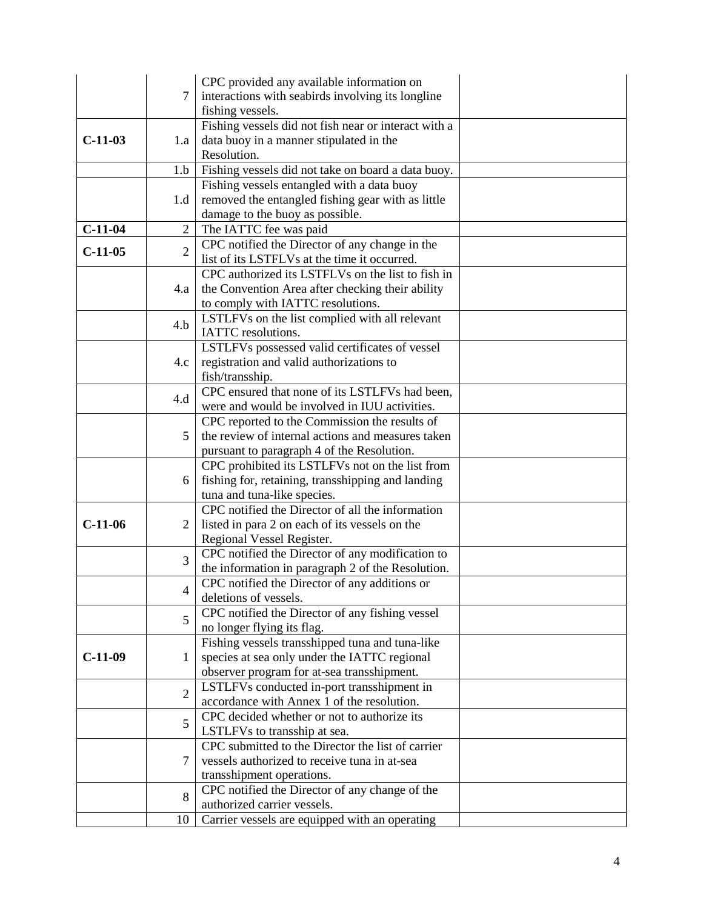|           |                | CPC provided any available information on                                         |  |
|-----------|----------------|-----------------------------------------------------------------------------------|--|
|           | $\overline{7}$ | interactions with seabirds involving its longline                                 |  |
|           |                | fishing vessels.                                                                  |  |
|           |                | Fishing vessels did not fish near or interact with a                              |  |
| $C-11-03$ | 1.a            | data buoy in a manner stipulated in the                                           |  |
|           |                | Resolution.                                                                       |  |
|           | 1.b            | Fishing vessels did not take on board a data buoy.                                |  |
|           |                | Fishing vessels entangled with a data buoy                                        |  |
|           | 1.d            | removed the entangled fishing gear with as little                                 |  |
|           |                | damage to the buoy as possible.                                                   |  |
| $C-11-04$ | $\overline{2}$ | The IATTC fee was paid                                                            |  |
|           |                | CPC notified the Director of any change in the                                    |  |
| $C-11-05$ | $\overline{2}$ | list of its LSTFLVs at the time it occurred.                                      |  |
|           |                | CPC authorized its LSTFLVs on the list to fish in                                 |  |
|           | 4.a            | the Convention Area after checking their ability                                  |  |
|           |                | to comply with IATTC resolutions.                                                 |  |
|           |                | LSTLFVs on the list complied with all relevant                                    |  |
|           | 4.b            | IATTC resolutions.                                                                |  |
|           |                | LSTLFVs possessed valid certificates of vessel                                    |  |
|           | 4.c            | registration and valid authorizations to                                          |  |
|           |                | fish/transship.                                                                   |  |
|           | 4.d            | CPC ensured that none of its LSTLFVs had been,                                    |  |
|           |                | were and would be involved in IUU activities.                                     |  |
|           |                | CPC reported to the Commission the results of                                     |  |
|           | 5              | the review of internal actions and measures taken                                 |  |
|           |                | pursuant to paragraph 4 of the Resolution.                                        |  |
|           |                | CPC prohibited its LSTLFVs not on the list from                                   |  |
|           | 6              | fishing for, retaining, transshipping and landing                                 |  |
|           |                | tuna and tuna-like species.                                                       |  |
|           |                | CPC notified the Director of all the information                                  |  |
| $C-11-06$ | 2              | listed in para 2 on each of its vessels on the                                    |  |
|           |                | Regional Vessel Register.                                                         |  |
|           | 3              | CPC notified the Director of any modification to                                  |  |
|           |                | the information in paragraph 2 of the Resolution.                                 |  |
|           | 4              | CPC notified the Director of any additions or                                     |  |
|           |                | deletions of vessels.                                                             |  |
|           | 5              | CPC notified the Director of any fishing vessel                                   |  |
|           |                | no longer flying its flag.                                                        |  |
|           |                | Fishing vessels transshipped tuna and tuna-like                                   |  |
| $C-11-09$ | 1              | species at sea only under the IATTC regional                                      |  |
|           |                | observer program for at-sea transshipment.                                        |  |
|           | $\overline{2}$ | LSTLFVs conducted in-port transshipment in                                        |  |
|           |                | accordance with Annex 1 of the resolution.                                        |  |
|           | 5              | CPC decided whether or not to authorize its                                       |  |
|           |                | LSTLFVs to transship at sea.<br>CPC submitted to the Director the list of carrier |  |
|           | 7              | vessels authorized to receive tuna in at-sea                                      |  |
|           |                |                                                                                   |  |
|           |                | transshipment operations.<br>CPC notified the Director of any change of the       |  |
|           | 8              | authorized carrier vessels.                                                       |  |
|           | 10             | Carrier vessels are equipped with an operating                                    |  |
|           |                |                                                                                   |  |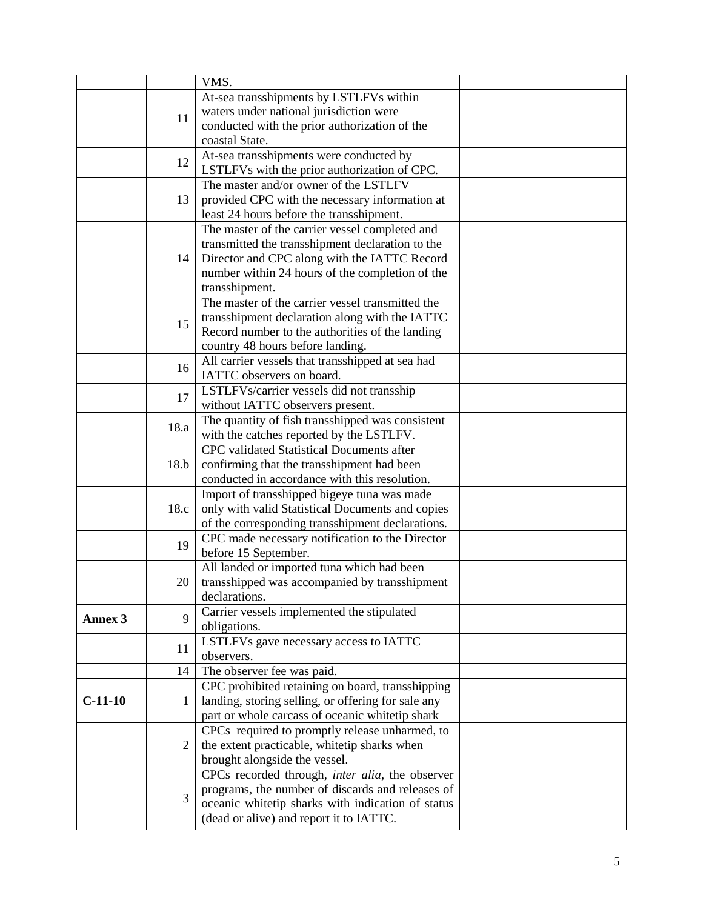|                |                | VMS.                                               |  |
|----------------|----------------|----------------------------------------------------|--|
|                |                | At-sea transshipments by LSTLFVs within            |  |
|                |                | waters under national jurisdiction were            |  |
|                | 11             | conducted with the prior authorization of the      |  |
|                |                | coastal State.                                     |  |
|                |                | At-sea transshipments were conducted by            |  |
|                | 12             | LSTLFVs with the prior authorization of CPC.       |  |
|                |                | The master and/or owner of the LSTLFV              |  |
|                | 13             | provided CPC with the necessary information at     |  |
|                |                | least 24 hours before the transshipment.           |  |
|                |                | The master of the carrier vessel completed and     |  |
|                |                | transmitted the transshipment declaration to the   |  |
|                | 14             | Director and CPC along with the IATTC Record       |  |
|                |                | number within 24 hours of the completion of the    |  |
|                |                | transshipment.                                     |  |
|                |                | The master of the carrier vessel transmitted the   |  |
|                |                | transshipment declaration along with the IATTC     |  |
|                | 15             | Record number to the authorities of the landing    |  |
|                |                | country 48 hours before landing.                   |  |
|                |                | All carrier vessels that transshipped at sea had   |  |
|                | 16             | IATTC observers on board.                          |  |
|                |                | LSTLFVs/carrier vessels did not transship          |  |
|                | 17             | without IATTC observers present.                   |  |
|                |                | The quantity of fish transshipped was consistent   |  |
|                | 18.a           | with the catches reported by the LSTLFV.           |  |
|                |                | CPC validated Statistical Documents after          |  |
|                | 18.b           | confirming that the transshipment had been         |  |
|                |                | conducted in accordance with this resolution.      |  |
|                |                | Import of transshipped bigeye tuna was made        |  |
|                | 18.c           | only with valid Statistical Documents and copies   |  |
|                |                | of the corresponding transshipment declarations.   |  |
|                | 19             | CPC made necessary notification to the Director    |  |
|                |                | before 15 September.                               |  |
|                |                | All landed or imported tuna which had been         |  |
|                | 20             | transshipped was accompanied by transshipment      |  |
|                |                | declarations.                                      |  |
| <b>Annex 3</b> | 9              | Carrier vessels implemented the stipulated         |  |
|                |                | obligations.                                       |  |
|                | 11             | LSTLFVs gave necessary access to IATTC             |  |
|                |                | observers.                                         |  |
|                | 14             | The observer fee was paid.                         |  |
|                |                | CPC prohibited retaining on board, transshipping   |  |
| $C-11-10$      | 1              | landing, storing selling, or offering for sale any |  |
|                |                | part or whole carcass of oceanic whitetip shark    |  |
|                | $\overline{2}$ | CPCs required to promptly release unharmed, to     |  |
|                |                | the extent practicable, whitetip sharks when       |  |
|                |                | brought alongside the vessel.                      |  |
|                |                | CPCs recorded through, inter alia, the observer    |  |
|                | 3              | programs, the number of discards and releases of   |  |
|                |                | oceanic whitetip sharks with indication of status  |  |
|                |                | (dead or alive) and report it to IATTC.            |  |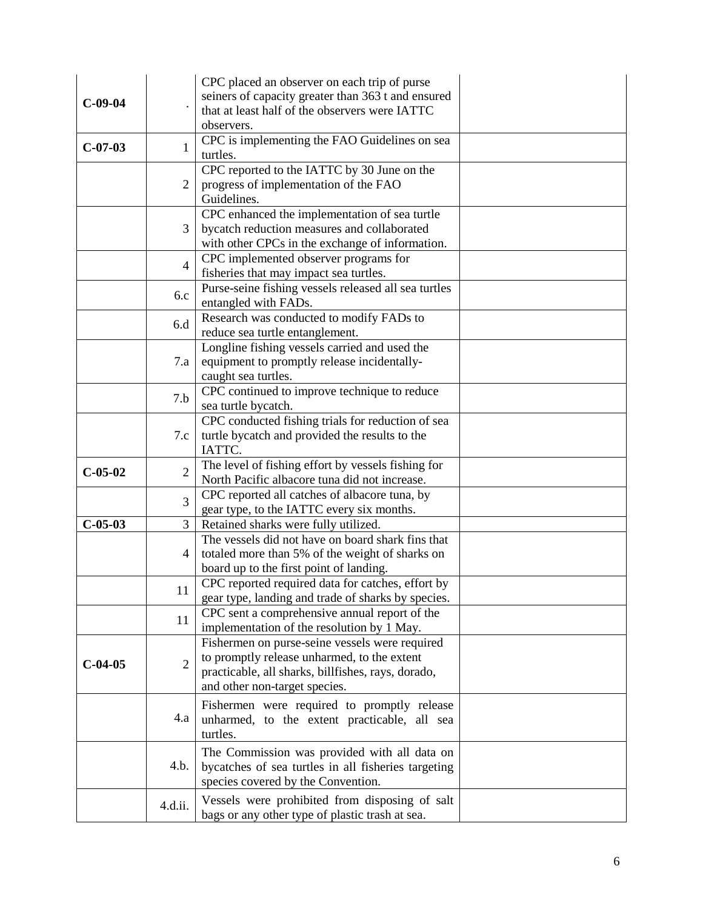| $C-09-04$ |                | CPC placed an observer on each trip of purse<br>seiners of capacity greater than 363 t and ensured<br>that at least half of the observers were IATTC<br>observers.                   |  |
|-----------|----------------|--------------------------------------------------------------------------------------------------------------------------------------------------------------------------------------|--|
| $C-07-03$ | 1              | CPC is implementing the FAO Guidelines on sea<br>turtles.                                                                                                                            |  |
|           | $\overline{2}$ | CPC reported to the IATTC by 30 June on the<br>progress of implementation of the FAO<br>Guidelines.                                                                                  |  |
|           | 3              | CPC enhanced the implementation of sea turtle<br>bycatch reduction measures and collaborated<br>with other CPCs in the exchange of information.                                      |  |
|           | $\overline{4}$ | CPC implemented observer programs for<br>fisheries that may impact sea turtles.                                                                                                      |  |
|           | 6.c            | Purse-seine fishing vessels released all sea turtles<br>entangled with FADs.                                                                                                         |  |
|           | 6.d            | Research was conducted to modify FADs to<br>reduce sea turtle entanglement.                                                                                                          |  |
|           | 7.a            | Longline fishing vessels carried and used the<br>equipment to promptly release incidentally-<br>caught sea turtles.                                                                  |  |
|           | 7.b            | CPC continued to improve technique to reduce<br>sea turtle bycatch.                                                                                                                  |  |
|           | 7.c            | CPC conducted fishing trials for reduction of sea<br>turtle bycatch and provided the results to the<br>IATTC.                                                                        |  |
| $C-05-02$ | $\overline{2}$ | The level of fishing effort by vessels fishing for<br>North Pacific albacore tuna did not increase.                                                                                  |  |
|           | 3              | CPC reported all catches of albacore tuna, by<br>gear type, to the IATTC every six months.                                                                                           |  |
| $C-05-03$ | $\overline{3}$ | Retained sharks were fully utilized.                                                                                                                                                 |  |
|           | 4              | The vessels did not have on board shark fins that<br>totaled more than 5% of the weight of sharks on<br>board up to the first point of landing.                                      |  |
|           | 11             | CPC reported required data for catches, effort by<br>gear type, landing and trade of sharks by species.                                                                              |  |
|           | 11             | CPC sent a comprehensive annual report of the<br>implementation of the resolution by 1 May.                                                                                          |  |
| $C-04-05$ | $\overline{2}$ | Fishermen on purse-seine vessels were required<br>to promptly release unharmed, to the extent<br>practicable, all sharks, billfishes, rays, dorado,<br>and other non-target species. |  |
|           | 4.a            | Fishermen were required to promptly release<br>unharmed, to the extent practicable, all sea<br>turtles.                                                                              |  |
|           | 4.b.           | The Commission was provided with all data on<br>bycatches of sea turtles in all fisheries targeting<br>species covered by the Convention.                                            |  |
|           | 4.d.ii.        | Vessels were prohibited from disposing of salt<br>bags or any other type of plastic trash at sea.                                                                                    |  |